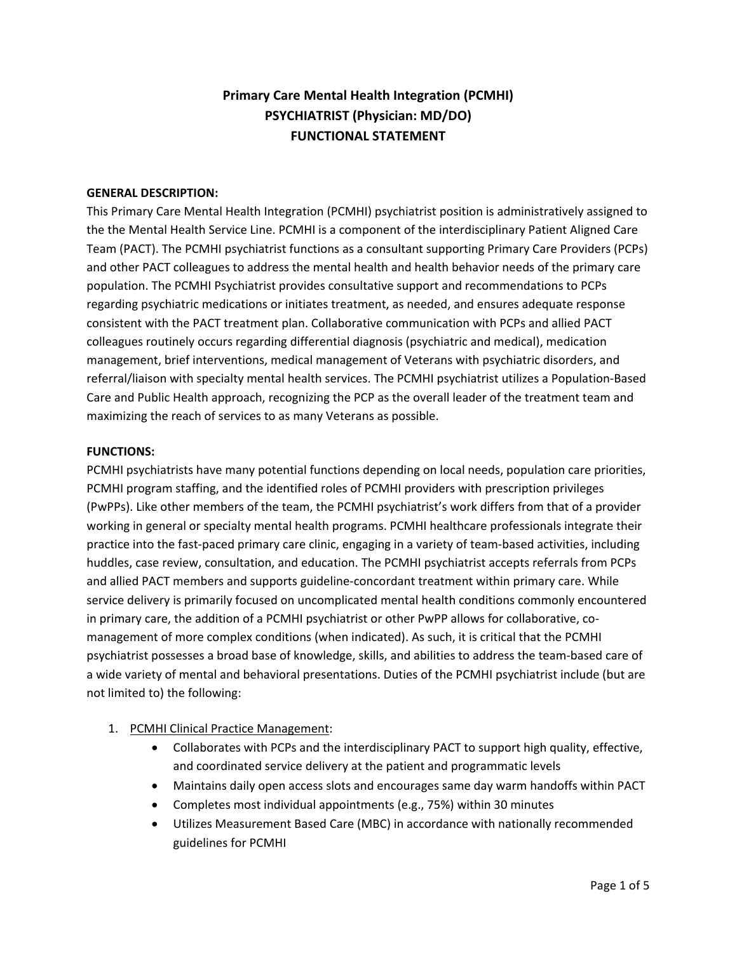# **Primary Care Mental Health Integration (PCMHI) PSYCHIATRIST (Physician: MD/DO) FUNCTIONAL STATEMENT**

#### **GENERAL DESCRIPTION:**

This Primary Care Mental Health Integration (PCMHI) psychiatrist position is administratively assigned to the the Mental Health Service Line. PCMHI is a component of the interdisciplinary Patient Aligned Care Team (PACT). The PCMHI psychiatrist functions as a consultant supporting Primary Care Providers (PCPs) and other PACT colleagues to address the mental health and health behavior needs of the primary care population. The PCMHI Psychiatrist provides consultative support and recommendations to PCPs regarding psychiatric medications or initiates treatment, as needed, and ensures adequate response consistent with the PACT treatment plan. Collaborative communication with PCPs and allied PACT colleagues routinely occurs regarding differential diagnosis (psychiatric and medical), medication management, brief interventions, medical management of Veterans with psychiatric disorders, and referral/liaison with specialty mental health services. The PCMHI psychiatrist utilizes a Population-Based Care and Public Health approach, recognizing the PCP as the overall leader of the treatment team and maximizing the reach of services to as many Veterans as possible.

#### **FUNCTIONS:**

PCMHI psychiatrists have many potential functions depending on local needs, population care priorities, PCMHI program staffing, and the identified roles of PCMHI providers with prescription privileges (PwPPs). Like other members of the team, the PCMHI psychiatrist's work differs from that of a provider working in general or specialty mental health programs. PCMHI healthcare professionals integrate their practice into the fast-paced primary care clinic, engaging in a variety of team-based activities, including huddles, case review, consultation, and education. The PCMHI psychiatrist accepts referrals from PCPs and allied PACT members and supports guideline-concordant treatment within primary care. While service delivery is primarily focused on uncomplicated mental health conditions commonly encountered in primary care, the addition of a PCMHI psychiatrist or other PwPP allows for collaborative, comanagement of more complex conditions (when indicated). As such, it is critical that the PCMHI psychiatrist possesses a broad base of knowledge, skills, and abilities to address the team-based care of a wide variety of mental and behavioral presentations. Duties of the PCMHI psychiatrist include (but are not limited to) the following:

### 1. PCMHI Clinical Practice Management:

- Collaborates with PCPs and the interdisciplinary PACT to support high quality, effective, and coordinated service delivery at the patient and programmatic levels
- Maintains daily open access slots and encourages same day warm handoffs within PACT
- Completes most individual appointments (e.g., 75%) within 30 minutes
- Utilizes Measurement Based Care (MBC) in accordance with nationally recommended guidelines for PCMHI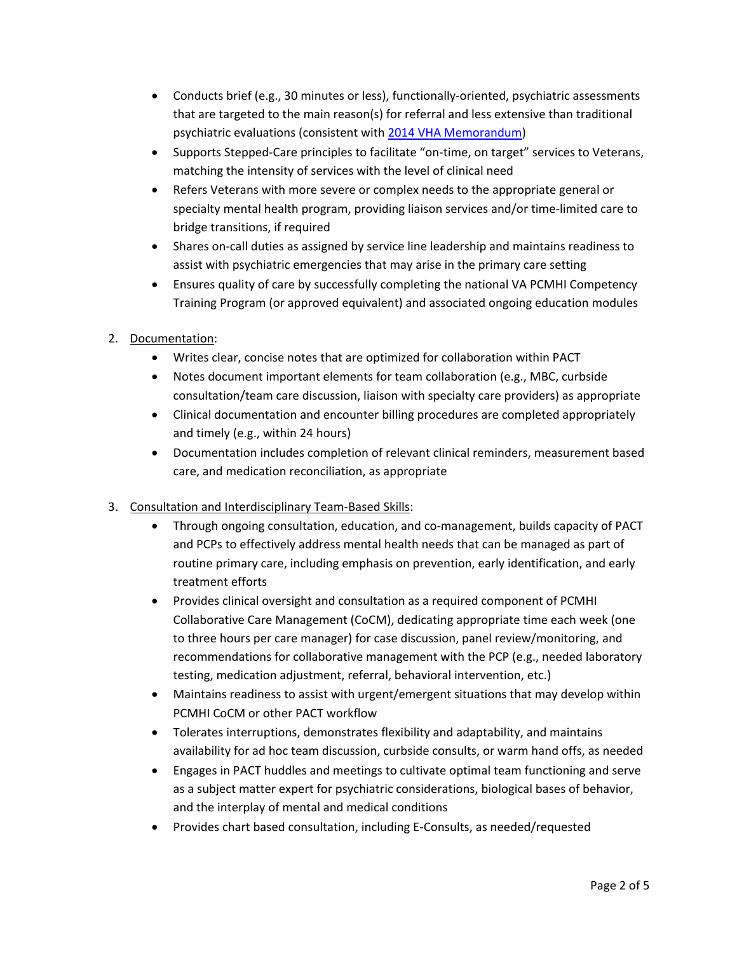- Conducts brief (e.g., 30 minutes or less), functionally-oriented, psychiatric assessments that are targeted to the main reason(s) for referral and less extensive than traditional psychiatric evaluations (consistent with [2014 VHA Memorandum\)](https://vaww.va.gov/vhapublications/ViewPublication.asp?pub_ID=7823)
- Supports Stepped-Care principles to facilitate "on-time, on target" services to Veterans, matching the intensity of services with the level of clinical need
- Refers Veterans with more severe or complex needs to the appropriate general or specialty mental health program, providing liaison services and/or time-limited care to bridge transitions, if required
- Shares on-call duties as assigned by service line leadership and maintains readiness to assist with psychiatric emergencies that may arise in the primary care setting
- Ensures quality of care by successfully completing the national VA PCMHI Competency Training Program (or approved equivalent) and associated ongoing education modules

# 2. Documentation:

- Writes clear, concise notes that are optimized for collaboration within PACT
- Notes document important elements for team collaboration (e.g., MBC, curbside consultation/team care discussion, liaison with specialty care providers) as appropriate
- Clinical documentation and encounter billing procedures are completed appropriately and timely (e.g., within 24 hours)
- Documentation includes completion of relevant clinical reminders, measurement based care, and medication reconciliation, as appropriate

# 3. Consultation and Interdisciplinary Team-Based Skills:

- Through ongoing consultation, education, and co-management, builds capacity of PACT and PCPs to effectively address mental health needs that can be managed as part of routine primary care, including emphasis on prevention, early identification, and early treatment efforts
- Provides clinical oversight and consultation as a required component of PCMHI Collaborative Care Management (CoCM), dedicating appropriate time each week (one to three hours per care manager) for case discussion, panel review/monitoring, and recommendations for collaborative management with the PCP (e.g., needed laboratory testing, medication adjustment, referral, behavioral intervention, etc.)
- Maintains readiness to assist with urgent/emergent situations that may develop within PCMHI CoCM or other PACT workflow
- Tolerates interruptions, demonstrates flexibility and adaptability, and maintains availability for ad hoc team discussion, curbside consults, or warm hand offs, as needed
- Engages in PACT huddles and meetings to cultivate optimal team functioning and serve as a subject matter expert for psychiatric considerations, biological bases of behavior, and the interplay of mental and medical conditions
- Provides chart based consultation, including E-Consults, as needed/requested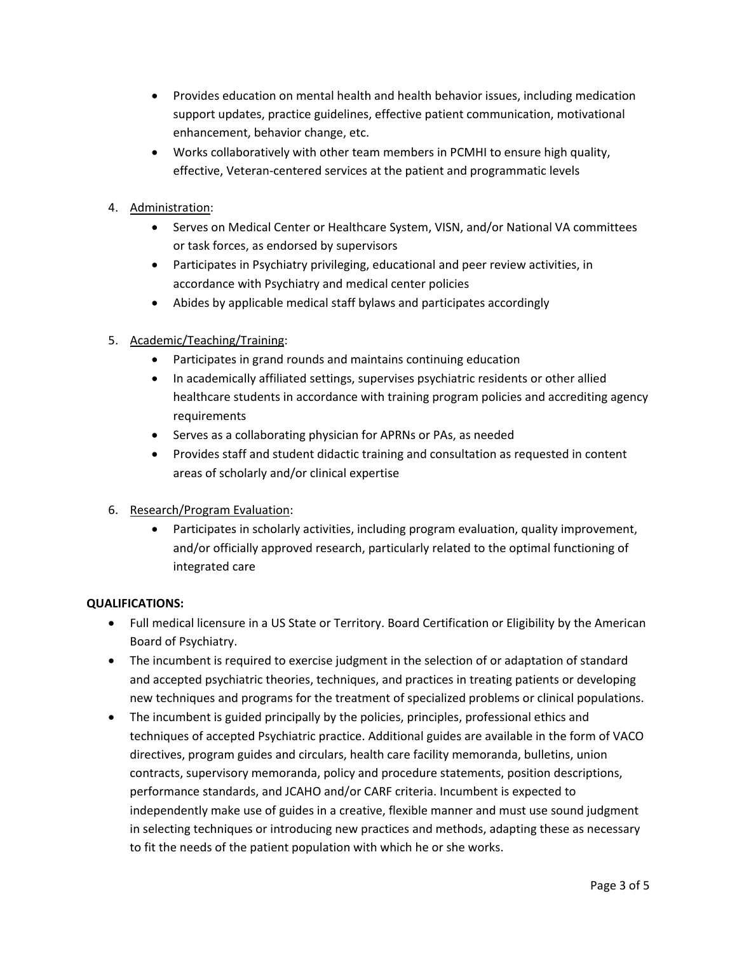- Provides education on mental health and health behavior issues, including medication support updates, practice guidelines, effective patient communication, motivational enhancement, behavior change, etc.
- Works collaboratively with other team members in PCMHI to ensure high quality, effective, Veteran-centered services at the patient and programmatic levels

# 4. Administration:

- Serves on Medical Center or Healthcare System, VISN, and/or National VA committees or task forces, as endorsed by supervisors
- Participates in Psychiatry privileging, educational and peer review activities, in accordance with Psychiatry and medical center policies
- Abides by applicable medical staff bylaws and participates accordingly
- 5. Academic/Teaching/Training:
	- Participates in grand rounds and maintains continuing education
	- In academically affiliated settings, supervises psychiatric residents or other allied healthcare students in accordance with training program policies and accrediting agency requirements
	- Serves as a collaborating physician for APRNs or PAs, as needed
	- Provides staff and student didactic training and consultation as requested in content areas of scholarly and/or clinical expertise
- 6. Research/Program Evaluation:
	- Participates in scholarly activities, including program evaluation, quality improvement, and/or officially approved research, particularly related to the optimal functioning of integrated care

# **QUALIFICATIONS:**

- Full medical licensure in a US State or Territory. Board Certification or Eligibility by the American Board of Psychiatry.
- The incumbent is required to exercise judgment in the selection of or adaptation of standard and accepted psychiatric theories, techniques, and practices in treating patients or developing new techniques and programs for the treatment of specialized problems or clinical populations.
- The incumbent is guided principally by the policies, principles, professional ethics and techniques of accepted Psychiatric practice. Additional guides are available in the form of VACO directives, program guides and circulars, health care facility memoranda, bulletins, union contracts, supervisory memoranda, policy and procedure statements, position descriptions, performance standards, and JCAHO and/or CARF criteria. Incumbent is expected to independently make use of guides in a creative, flexible manner and must use sound judgment in selecting techniques or introducing new practices and methods, adapting these as necessary to fit the needs of the patient population with which he or she works.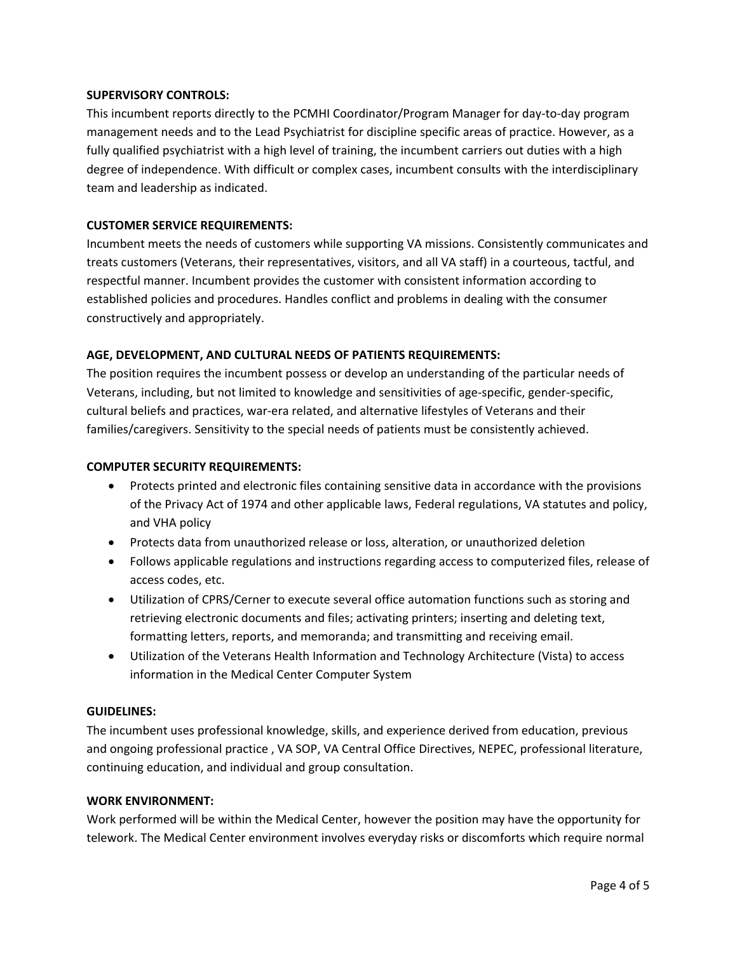### **SUPERVISORY CONTROLS:**

This incumbent reports directly to the PCMHI Coordinator/Program Manager for day-to-day program management needs and to the Lead Psychiatrist for discipline specific areas of practice. However, as a fully qualified psychiatrist with a high level of training, the incumbent carriers out duties with a high degree of independence. With difficult or complex cases, incumbent consults with the interdisciplinary team and leadership as indicated.

### **CUSTOMER SERVICE REQUIREMENTS:**

Incumbent meets the needs of customers while supporting VA missions. Consistently communicates and treats customers (Veterans, their representatives, visitors, and all VA staff) in a courteous, tactful, and respectful manner. Incumbent provides the customer with consistent information according to established policies and procedures. Handles conflict and problems in dealing with the consumer constructively and appropriately.

#### **AGE, DEVELOPMENT, AND CULTURAL NEEDS OF PATIENTS REQUIREMENTS:**

The position requires the incumbent possess or develop an understanding of the particular needs of Veterans, including, but not limited to knowledge and sensitivities of age-specific, gender-specific, cultural beliefs and practices, war-era related, and alternative lifestyles of Veterans and their families/caregivers. Sensitivity to the special needs of patients must be consistently achieved.

#### **COMPUTER SECURITY REQUIREMENTS:**

- Protects printed and electronic files containing sensitive data in accordance with the provisions of the Privacy Act of 1974 and other applicable laws, Federal regulations, VA statutes and policy, and VHA policy
- Protects data from unauthorized release or loss, alteration, or unauthorized deletion
- Follows applicable regulations and instructions regarding access to computerized files, release of access codes, etc.
- Utilization of CPRS/Cerner to execute several office automation functions such as storing and retrieving electronic documents and files; activating printers; inserting and deleting text, formatting letters, reports, and memoranda; and transmitting and receiving email.
- Utilization of the Veterans Health Information and Technology Architecture (Vista) to access information in the Medical Center Computer System

#### **GUIDELINES:**

The incumbent uses professional knowledge, skills, and experience derived from education, previous and ongoing professional practice , VA SOP, VA Central Office Directives, NEPEC, professional literature, continuing education, and individual and group consultation.

#### **WORK ENVIRONMENT:**

Work performed will be within the Medical Center, however the position may have the opportunity for telework. The Medical Center environment involves everyday risks or discomforts which require normal